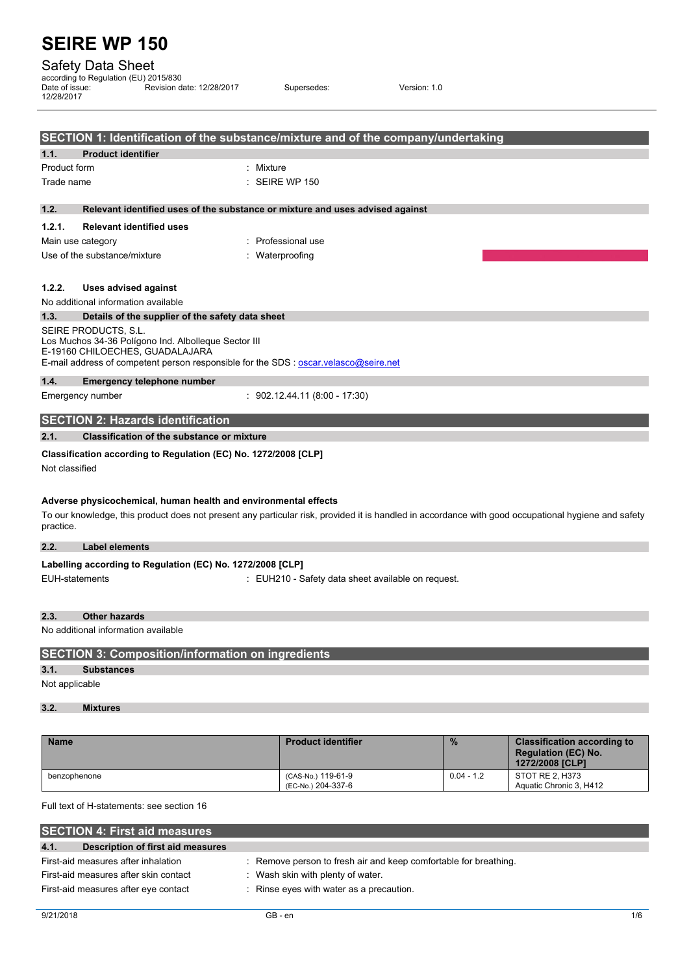## Safety Data Sheet

| according to Regulation (EU) 2015/830<br>Date of issue:<br>12/28/2017 | Revision date: 12/28/2017 | Supersedes:               | Version: 1.0                                                                      |  |
|-----------------------------------------------------------------------|---------------------------|---------------------------|-----------------------------------------------------------------------------------|--|
|                                                                       |                           |                           | SECTION 1: Identification of the substance/mixture and of the company/undertaking |  |
| <b>Product identifier</b><br>1.1.                                     |                           |                           |                                                                                   |  |
| Product form                                                          |                           | Mixture                   |                                                                                   |  |
| Trade name                                                            |                           | $\therefore$ SEIRE WP 150 |                                                                                   |  |

**1.2. Relevant identified uses of the substance or mixture and uses advised against**

## **1.2.1. Relevant identified uses**

| Main use category            | : Professional use |
|------------------------------|--------------------|
| Use of the substance/mixture | : Waterproofing    |

## **1.2.2. Uses advised against**

No additional information available

## **1.3. Details of the supplier of the safety data sheet** SEIRE PRODUCTS, S.L.

Los Muchos 34-36 Polígono Ind. Albolleque Sector III E-19160 CHILOECHES, GUADALAJARA E-mail address of competent person responsible for the SDS : [oscar.velasco@seire.net](mailto:oscar.velasco@seire.net)

## **1.4. Emergency telephone number**

Emergency number : 902.12.44.11 (8:00 - 17:30)

## **SECTION 2: Hazards identification**

## **2.1. Classification of the substance or mixture**

## **Classification according to Regulation (EC) No. 1272/2008 [CLP]**

Not classified

## **Adverse physicochemical, human health and environmental effects**

To our knowledge, this product does not present any particular risk, provided it is handled in accordance with good occupational hygiene and safety practice.

## **2.2. Label elements**

| Labelling according to Regulation (EC) No. 1272/2008 [CLP] |                                                    |
|------------------------------------------------------------|----------------------------------------------------|
| EUH-statements                                             | : EUH210 - Safety data sheet available on request. |

#### **2.3. Other hazards**

No additional information available

## **SECTION 3: Composition/information on ingredients**

## **3.1. Substances**

Not applicable

## **3.2. Mixtures**

| <b>Name</b>  | <b>Product identifier</b>                | $\frac{9}{6}$ | <b>Classification according to</b><br><b>Regulation (EC) No.</b><br>1272/2008 [CLP] |
|--------------|------------------------------------------|---------------|-------------------------------------------------------------------------------------|
| benzophenone | (CAS-No.) 119-61-9<br>(EC-No.) 204-337-6 | $0.04 - 1.2$  | STOT RE 2. H373<br>Aquatic Chronic 3, H412                                          |

Full text of H-statements: see section 16

| <b>SECTION 4: First aid measures</b>      |                                                                  |  |
|-------------------------------------------|------------------------------------------------------------------|--|
| 4.1.<br>Description of first aid measures |                                                                  |  |
| First-aid measures after inhalation       | : Remove person to fresh air and keep comfortable for breathing. |  |
| First-aid measures after skin contact     | : Wash skin with plenty of water.                                |  |
| First-aid measures after eye contact      | : Rinse eyes with water as a precaution.                         |  |
|                                           |                                                                  |  |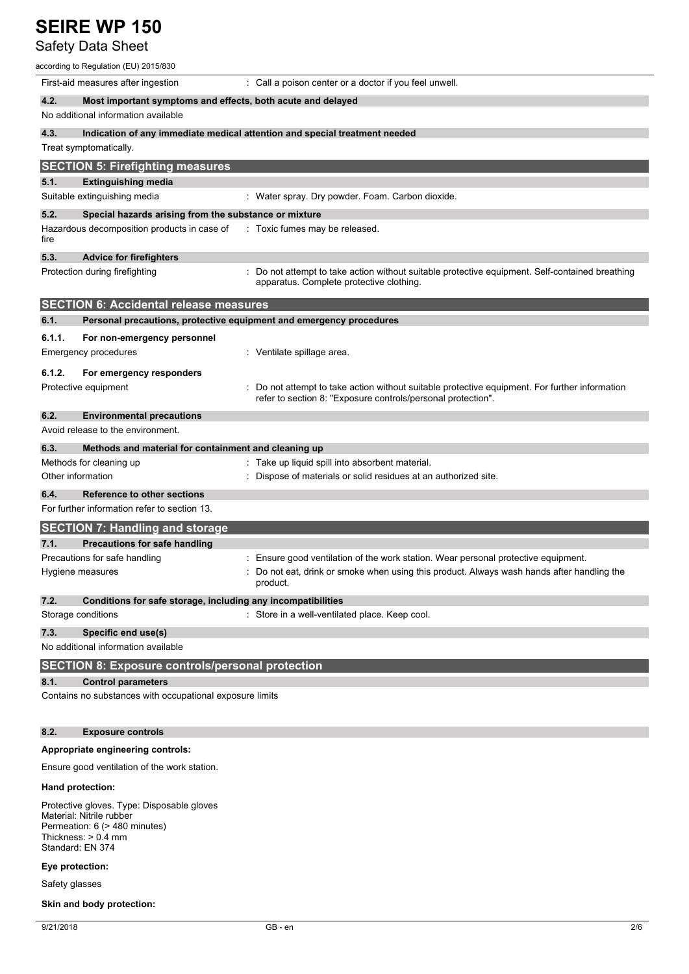## Safety Data Sheet

| according to Regulation (EU) 2015/830                                |                                                                                                                                                              |
|----------------------------------------------------------------------|--------------------------------------------------------------------------------------------------------------------------------------------------------------|
| First-aid measures after ingestion                                   | : Call a poison center or a doctor if you feel unwell.                                                                                                       |
| 4.2.<br>Most important symptoms and effects, both acute and delayed  |                                                                                                                                                              |
| No additional information available                                  |                                                                                                                                                              |
| 4.3.                                                                 | Indication of any immediate medical attention and special treatment needed                                                                                   |
| Treat symptomatically.                                               |                                                                                                                                                              |
| <b>SECTION 5: Firefighting measures</b>                              |                                                                                                                                                              |
| 5.1.<br><b>Extinguishing media</b>                                   |                                                                                                                                                              |
| Suitable extinguishing media                                         | : Water spray. Dry powder. Foam. Carbon dioxide.                                                                                                             |
| 5.2.<br>Special hazards arising from the substance or mixture        |                                                                                                                                                              |
| Hazardous decomposition products in case of<br>fire                  | : Toxic fumes may be released.                                                                                                                               |
| 5.3.<br><b>Advice for firefighters</b>                               |                                                                                                                                                              |
| Protection during firefighting                                       | : Do not attempt to take action without suitable protective equipment. Self-contained breathing<br>apparatus. Complete protective clothing.                  |
| <b>SECTION 6: Accidental release measures</b>                        |                                                                                                                                                              |
| 6.1.                                                                 | Personal precautions, protective equipment and emergency procedures                                                                                          |
| 6.1.1.<br>For non-emergency personnel                                |                                                                                                                                                              |
| Emergency procedures                                                 | : Ventilate spillage area.                                                                                                                                   |
| 6.1.2.<br>For emergency responders                                   |                                                                                                                                                              |
| Protective equipment                                                 | Do not attempt to take action without suitable protective equipment. For further information<br>refer to section 8: "Exposure controls/personal protection". |
| 6.2.<br><b>Environmental precautions</b>                             |                                                                                                                                                              |
| Avoid release to the environment.                                    |                                                                                                                                                              |
| 6.3.<br>Methods and material for containment and cleaning up         |                                                                                                                                                              |
| Methods for cleaning up                                              | : Take up liquid spill into absorbent material.                                                                                                              |
| Other information                                                    | Dispose of materials or solid residues at an authorized site.                                                                                                |
| 6.4.<br><b>Reference to other sections</b>                           |                                                                                                                                                              |
| For further information refer to section 13.                         |                                                                                                                                                              |
| <b>SECTION 7: Handling and storage</b>                               |                                                                                                                                                              |
| 7.1.<br><b>Precautions for safe handling</b>                         |                                                                                                                                                              |
| Precautions for safe handling                                        | : Ensure good ventilation of the work station. Wear personal protective equipment.                                                                           |
| Hygiene measures                                                     | Do not eat, drink or smoke when using this product. Always wash hands after handling the<br>product.                                                         |
| 7.2.<br>Conditions for safe storage, including any incompatibilities |                                                                                                                                                              |
| Storage conditions                                                   | : Store in a well-ventilated place. Keep cool.                                                                                                               |
| 7.3.<br>Specific end use(s)<br>No additional information available   |                                                                                                                                                              |
| <b>SECTION 8: Exposure controls/personal protection</b>              |                                                                                                                                                              |
| 8.1.<br><b>Control parameters</b>                                    |                                                                                                                                                              |
| Contains no substances with occupational exposure limits             |                                                                                                                                                              |
| 8.2.<br><b>Exposure controls</b>                                     |                                                                                                                                                              |

# **Appropriate engineering controls:**

Ensure good ventilation of the work station.

## **Hand protection:**

Protective gloves. Type: Disposable gloves Material: Nitrile rubber Permeation: 6 (> 480 minutes) Thickness: > 0.4 mm Standard: EN 374

## **Eye protection:**

Safety glasses

## **Skin and body protection:**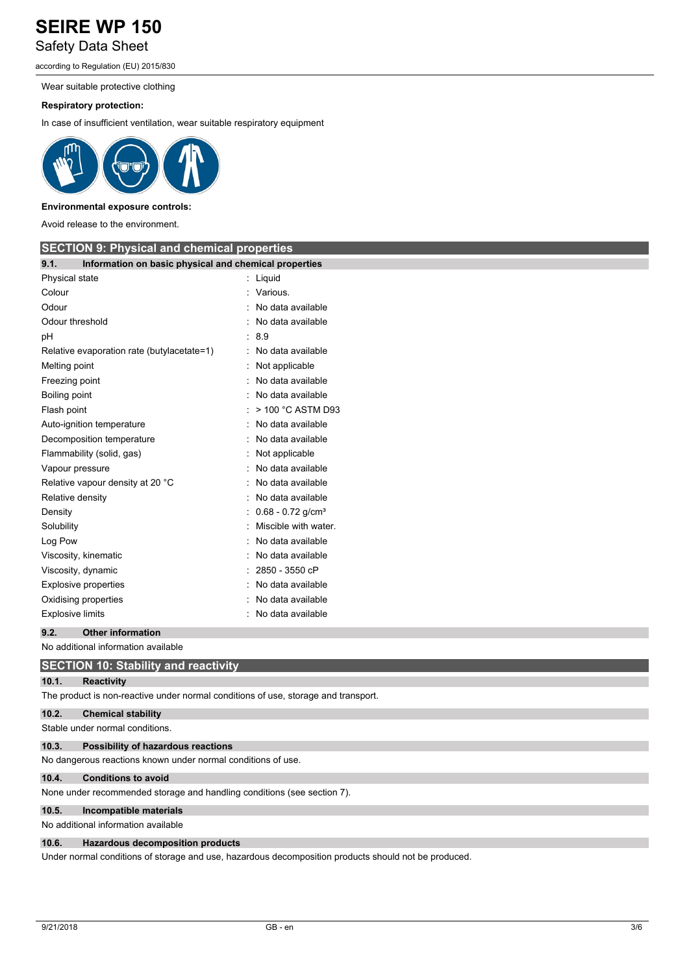## **SEIRE WP 150** Safety Data Sheet

according to Regulation (EU) 2015/830

Wear suitable protective clothing

## **Respiratory protection:**

In case of insufficient ventilation, wear suitable respiratory equipment



## **Environmental exposure controls:**

Avoid release to the environment.

| <b>SECTION 9: Physical and chemical properties</b>                                 |                                 |  |
|------------------------------------------------------------------------------------|---------------------------------|--|
| Information on basic physical and chemical properties<br>9.1.                      |                                 |  |
| Physical state                                                                     | : Liquid                        |  |
| Colour                                                                             | Various.                        |  |
| Odour                                                                              | No data available               |  |
| Odour threshold                                                                    | No data available               |  |
| pH                                                                                 | 8.9                             |  |
| Relative evaporation rate (butylacetate=1)                                         | No data available               |  |
| Melting point                                                                      | Not applicable                  |  |
| Freezing point                                                                     | No data available               |  |
| Boiling point                                                                      | No data available               |  |
| Flash point                                                                        | > 100 °C ASTM D93               |  |
| Auto-ignition temperature                                                          | No data available               |  |
| Decomposition temperature                                                          | No data available               |  |
| Flammability (solid, gas)                                                          | Not applicable                  |  |
| Vapour pressure                                                                    | No data available               |  |
| Relative vapour density at 20 °C                                                   | No data available               |  |
| Relative density                                                                   | No data available               |  |
| Density                                                                            | $0.68 - 0.72$ g/cm <sup>3</sup> |  |
| Solubility                                                                         | Miscible with water.            |  |
| Log Pow                                                                            | No data available               |  |
| Viscosity, kinematic                                                               | No data available               |  |
| Viscosity, dynamic                                                                 | 2850 - 3550 cP                  |  |
| <b>Explosive properties</b>                                                        | No data available               |  |
| Oxidising properties                                                               | No data available               |  |
| <b>Explosive limits</b>                                                            | No data available               |  |
| <b>Other information</b><br>9.2.                                                   |                                 |  |
| No additional information available                                                |                                 |  |
| <b>SECTION 10: Stability and reactivity</b>                                        |                                 |  |
| 10.1.<br><b>Reactivity</b>                                                         |                                 |  |
| The product is non-reactive under normal conditions of use, storage and transport. |                                 |  |

## **10.2. Chemical stability**

Stable under normal conditions.

## **10.3. Possibility of hazardous reactions**

No dangerous reactions known under normal conditions of use.

## **10.4. Conditions to avoid**

None under recommended storage and handling conditions (see section 7).

#### **10.5. Incompatible materials**

No additional information available

### **10.6. Hazardous decomposition products**

Under normal conditions of storage and use, hazardous decomposition products should not be produced.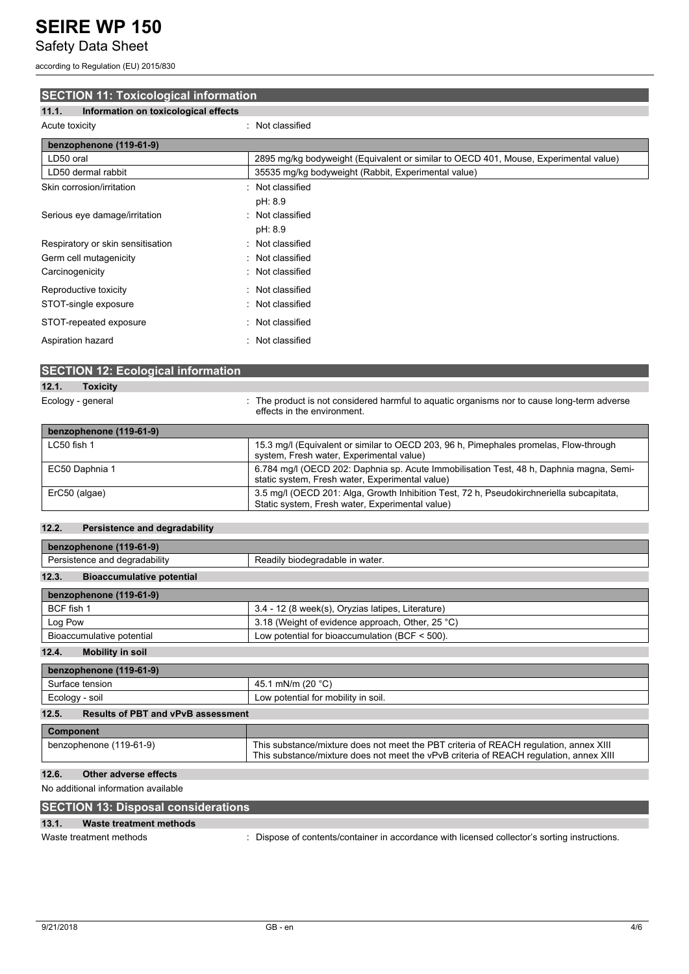## Safety Data Sheet

according to Regulation (EU) 2015/830

## **SECTION 11: Toxicological information 11.1. Information on toxicological effects** Acute toxicity **in the case of the contract of the contract of the contract of the contract of the contract of the contract of the contract of the contract of the contract of the contract of the contract of the contract of**

| benzophenone (119-61-9)           |                                                                                      |
|-----------------------------------|--------------------------------------------------------------------------------------|
| LD50 oral                         | 2895 mg/kg bodyweight (Equivalent or similar to OECD 401, Mouse, Experimental value) |
| LD50 dermal rabbit                | 35535 mg/kg bodyweight (Rabbit, Experimental value)                                  |
| Skin corrosion/irritation         | : Not classified                                                                     |
|                                   | pH: 8.9                                                                              |
| Serious eye damage/irritation     | : Not classified                                                                     |
|                                   | pH: 8.9                                                                              |
| Respiratory or skin sensitisation | : Not classified                                                                     |
| Germ cell mutagenicity            | : Not classified                                                                     |
| Carcinogenicity                   | : Not classified                                                                     |
| Reproductive toxicity             | : Not classified                                                                     |
| STOT-single exposure              | : Not classified                                                                     |
| STOT-repeated exposure            | Not classified<br>٠.                                                                 |
| Aspiration hazard                 | : Not classified                                                                     |

| <b>SECTION 12: Ecological information</b> |                                                                                                                                   |
|-------------------------------------------|-----------------------------------------------------------------------------------------------------------------------------------|
| 12.1.<br><b>Toxicity</b>                  |                                                                                                                                   |
| Ecology - general                         | : The product is not considered harmful to aquatic organisms nor to cause long-term adverse<br>effects in the environment.        |
| benzophenone (119-61-9)                   |                                                                                                                                   |
| LC50 fish 1                               | 15.3 mg/l (Equivalent or similar to OECD 203, 96 h, Pimephales promelas, Flow-through<br>system, Fresh water, Experimental value) |

|                | system, Fresh water, Experimental value)                                                                                                    |
|----------------|---------------------------------------------------------------------------------------------------------------------------------------------|
| EC50 Daphnia 1 | 6.784 mg/l (OECD 202: Daphnia sp. Acute Immobilisation Test, 48 h, Daphnia magna, Semi-                                                     |
|                | static system, Fresh water, Experimental value)                                                                                             |
| ErC50 (algae)  | 3.5 mg/l (OECD 201: Alga, Growth Inhibition Test, 72 h, Pseudokirchneriella subcapitata,<br>Static system, Fresh water, Experimental value) |

## **12.2. Persistence and degradability**

| benzophenone (119-61-9)                   |                                                   |  |
|-------------------------------------------|---------------------------------------------------|--|
| Persistence and degradability             | Readily biodegradable in water.                   |  |
| 12.3.<br><b>Bioaccumulative potential</b> |                                                   |  |
| benzophenone (119-61-9)                   |                                                   |  |
| BCF fish 1                                | 3.4 - 12 (8 week(s), Oryzias latipes, Literature) |  |
| Log Pow                                   | 3.18 (Weight of evidence approach, Other, 25 °C)  |  |
| Bioaccumulative potential                 | Low potential for bioaccumulation (BCF < 500).    |  |

**12.4. Mobility in soil**

| 45.1 mN/m (20 $^{\circ}$ C)                                                                                                                                                     |
|---------------------------------------------------------------------------------------------------------------------------------------------------------------------------------|
| Low potential for mobility in soil.                                                                                                                                             |
| <b>Results of PBT and vPvB assessment</b>                                                                                                                                       |
|                                                                                                                                                                                 |
| This substance/mixture does not meet the PBT criteria of REACH regulation, annex XIII<br>This substance/mixture does not meet the vPvB criteria of REACH requlation, annex XIII |
|                                                                                                                                                                                 |

## **12.6. Other adverse effects**

## No additional information available

## **SECTION 13: Disposal considerations**

## **13.1. Waste treatment methods**

Waste treatment methods : Dispose of contents/container in accordance with licensed collector's sorting instructions.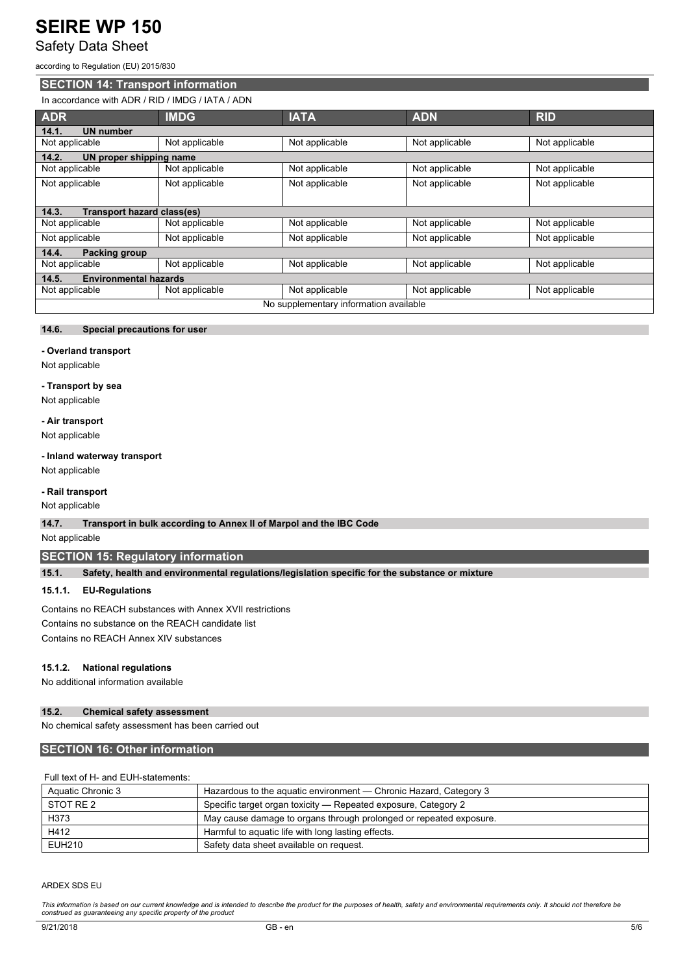## Safety Data Sheet

according to Regulation (EU) 2015/830

## **SECTION 14: Transport information**

## In accordance with ADR / RID / IMDG / IATA / ADN

| <b>ADR</b>                             | <b>IMDG</b>    | <b>IATA</b>    | <b>ADN</b>     | <b>RID</b>     |
|----------------------------------------|----------------|----------------|----------------|----------------|
| <b>UN number</b><br>14.1.              |                |                |                |                |
| Not applicable                         | Not applicable | Not applicable | Not applicable | Not applicable |
| 14.2.<br>UN proper shipping name       |                |                |                |                |
| Not applicable                         | Not applicable | Not applicable | Not applicable | Not applicable |
| Not applicable                         | Not applicable | Not applicable | Not applicable | Not applicable |
|                                        |                |                |                |                |
| 14.3.<br>Transport hazard class(es)    |                |                |                |                |
| Not applicable                         | Not applicable | Not applicable | Not applicable | Not applicable |
| Not applicable                         | Not applicable | Not applicable | Not applicable | Not applicable |
| <b>Packing group</b><br>14.4.          |                |                |                |                |
| Not applicable                         | Not applicable | Not applicable | Not applicable | Not applicable |
| <b>Environmental hazards</b><br>14.5.  |                |                |                |                |
| Not applicable                         | Not applicable | Not applicable | Not applicable | Not applicable |
| No supplementary information available |                |                |                |                |

## **14.6. Special precautions for user**

### **- Overland transport**

Not applicable

## **- Transport by sea**

Not applicable

## **- Air transport**

Not applicable

### **- Inland waterway transport**

Not applicable

## **- Rail transport**

Not applicable

## **14.7. Transport in bulk according to Annex II of Marpol and the IBC Code**

Not applicable

## **SECTION 15: Regulatory information**

**15.1. Safety, health and environmental regulations/legislation specific for the substance or mixture**

## **15.1.1. EU-Regulations**

Contains no REACH substances with Annex XVII restrictions Contains no substance on the REACH candidate list

Contains no REACH Annex XIV substances

#### **15.1.2. National regulations**

No additional information available

## **15.2. Chemical safety assessment**

No chemical safety assessment has been carried out

## **SECTION 16: Other information**

## Full text of H- and EUH-statements:

| Aquatic Chronic 3 | Hazardous to the aquatic environment — Chronic Hazard, Category 3  |  |
|-------------------|--------------------------------------------------------------------|--|
| STOT RE 2         | Specific target organ toxicity — Repeated exposure, Category 2     |  |
| H373              | May cause damage to organs through prolonged or repeated exposure. |  |
| H412              | Harmful to aquatic life with long lasting effects.                 |  |
| EUH210            | Safety data sheet available on request.                            |  |

#### ARDEX SDS EU

This information is based on our current knowledge and is intended to describe the product for the purposes of health, safety and environmental requirements only. It should not therefore be *construed as guaranteeing any specific property of the product*